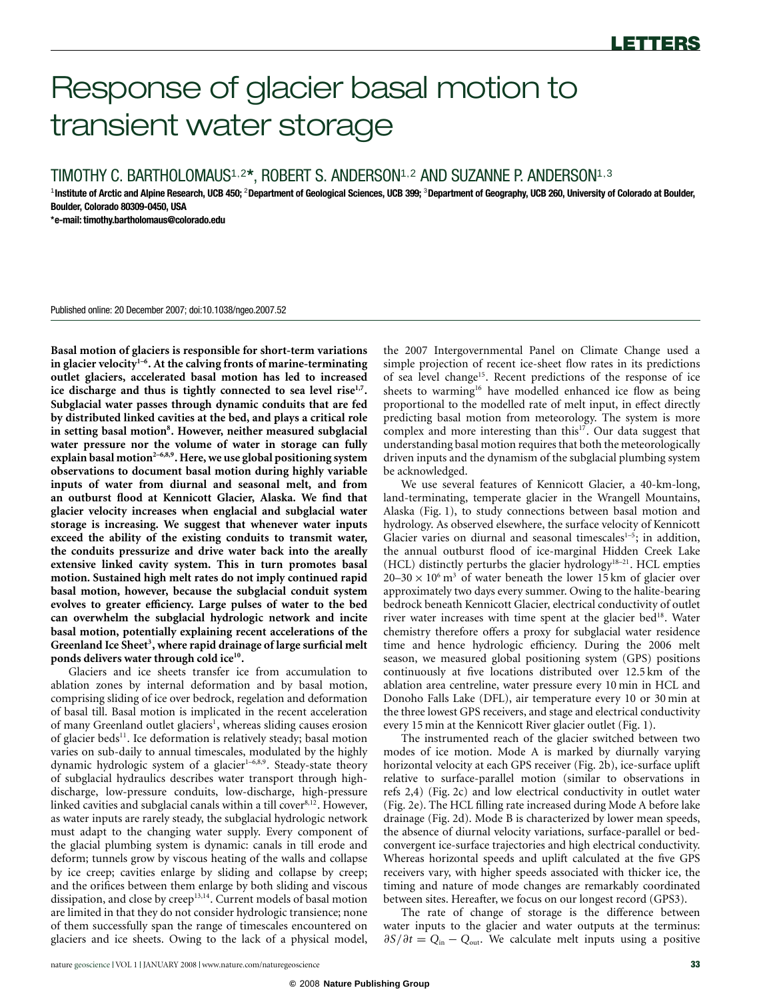# Response of glacier basal motion to transient water storage

### TIMOTHY C. BARTHOLOMAUS<sup>1</sup>,<sup>2</sup> **\***, ROBERT S. ANDERSON<sup>1</sup>,<sup>2</sup> AND SUZANNE P. ANDERSON<sup>1</sup>,<sup>3</sup>

1 **Institute of Arctic and Alpine Research, UCB 450;** <sup>2</sup>**Department of Geological Sciences, UCB 399;** <sup>3</sup>**Department of Geography, UCB 260, University of Colorado at Boulder, Boulder, Colorado 80309-0450, USA**

**\*e-mail: [timothy.bartholomaus@colorado.edu](mailto:timothy.bartholomaus@colorado.edu)**

Published online: 20 December 2007; doi[:10.1038/ngeo.2007.52](http://www.nature.com/doifinder/10.1038/ngeo.2007.52)

**Basal motion of glaciers is responsible for short-term variations in glacier velocity[1–](#page-4-0)[6](#page-4-1) . At the calving fronts of marine-terminating outlet glaciers, accelerated basal motion has led to increased ice discharge and thus is tightly connected to sea level rise[1,](#page-4-0)[7](#page-4-2) . Subglacial water passes through dynamic conduits that are fed by distributed linked cavities at the bed, and plays a critical role in setting basal motion[8](#page-4-3) . However, neither measured subglacial water pressure nor the volume of water in storage can fully explain basal motion[2](#page-4-4)[–6](#page-4-1)[,8](#page-4-3)[,9](#page-4-5) . Here, we use global positioning system observations to document basal motion during highly variable inputs of water from diurnal and seasonal melt, and from an outburst flood at Kennicott Glacier, Alaska. We find that glacier velocity increases when englacial and subglacial water storage is increasing. We suggest that whenever water inputs exceed the ability of the existing conduits to transmit water, the conduits pressurize and drive water back into the areally extensive linked cavity system. This in turn promotes basal motion. Sustained high melt rates do not imply continued rapid basal motion, however, because the subglacial conduit system evolves to greater efficiency. Large pulses of water to the bed can overwhelm the subglacial hydrologic network and incite basal motion, potentially explaining recent accelerations of the Greenland Ice Sheet[3](#page-4-6) , where rapid drainage of large surficial melt ponds delivers water through cold ice[10](#page-4-7) .**

Glaciers and ice sheets transfer ice from accumulation to ablation zones by internal deformation and by basal motion, comprising sliding of ice over bedrock, regelation and deformation of basal till. Basal motion is implicated in the recent acceleration of many Greenland outlet glaciers<sup>[1](#page-4-0)</sup>, whereas sliding causes erosion of glacier beds<sup>[11](#page-4-8)</sup>. Ice deformation is relatively steady; basal motion varies on sub-daily to annual timescales, modulated by the highly dynamic hydrologic system of a glacier<sup>[1](#page-4-0)-6[,8](#page-4-3)[,9](#page-4-5)</sup>. Steady-state theory of subglacial hydraulics describes water transport through highdischarge, low-pressure conduits, low-discharge, high-pressure linked cavities and subglacial canals within a till cover<sup>[8](#page-4-3)[,12](#page-4-9)</sup>. However, as water inputs are rarely steady, the subglacial hydrologic network must adapt to the changing water supply. Every component of the glacial plumbing system is dynamic: canals in till erode and deform; tunnels grow by viscous heating of the walls and collapse by ice creep; cavities enlarge by sliding and collapse by creep; and the orifices between them enlarge by both sliding and viscous dissipation, and close by creep $13,14$  $13,14$ . Current models of basal motion are limited in that they do not consider hydrologic transience; none of them successfully span the range of timescales encountered on glaciers and ice sheets. Owing to the lack of a physical model, the 2007 Intergovernmental Panel on Climate Change used a simple projection of recent ice-sheet flow rates in its predictions of sea level change<sup>[15](#page-4-12)</sup>. Recent predictions of the response of ice sheets to warming<sup>[16](#page-4-13)</sup> have modelled enhanced ice flow as being proportional to the modelled rate of melt input, in effect directly predicting basal motion from meteorology. The system is more complex and more interesting than this<sup>[17](#page-4-14)</sup>. Our data suggest that understanding basal motion requires that both the meteorologically driven inputs and the dynamism of the subglacial plumbing system be acknowledged.

We use several features of Kennicott Glacier, a 40-km-long, land-terminating, temperate glacier in the Wrangell Mountains, Alaska [\(Fig.](#page-1-0) [1\)](#page-1-0), to study connections between basal motion and hydrology. As observed elsewhere, the surface velocity of Kennicott Glacier varies on diurnal and seasonal timescales<sup>[1](#page-4-0)-5</sup>; in addition, the annual outburst flood of ice-marginal Hidden Creek Lake (HCL) distinctly perturbs the glacier hydrology<sup>[18](#page-4-16)[–21](#page-4-17)</sup>. HCL empties  $20-30 \times 10^6$  m<sup>3</sup> of water beneath the lower 15 km of glacier over approximately two days every summer. Owing to the halite-bearing bedrock beneath Kennicott Glacier, electrical conductivity of outlet river water increases with time spent at the glacier bed[18](#page-4-16). Water chemistry therefore offers a proxy for subglacial water residence time and hence hydrologic efficiency. During the 2006 melt season, we measured global positioning system (GPS) positions continuously at five locations distributed over 12.5 km of the ablation area centreline, water pressure every 10 min in HCL and Donoho Falls Lake (DFL), air temperature every 10 or 30 min at the three lowest GPS receivers, and stage and electrical conductivity every 15 min at the Kennicott River glacier outlet [\(Fig.](#page-1-0) [1\)](#page-1-0).

The instrumented reach of the glacier switched between two modes of ice motion. Mode A is marked by diurnally varying horizontal velocity at each GPS receiver [\(Fig.](#page-2-0) [2b](#page-2-0)), ice-surface uplift relative to surface-parallel motion (similar to observations in refs [2](#page-4-4)[,4\)](#page-4-18) [\(Fig.](#page-2-0) [2c](#page-2-0)) and low electrical conductivity in outlet water [\(Fig.](#page-2-0) [2e](#page-2-0)). The HCL filling rate increased during Mode A before lake drainage [\(Fig.](#page-2-0) [2d](#page-2-0)). Mode B is characterized by lower mean speeds, the absence of diurnal velocity variations, surface-parallel or bedconvergent ice-surface trajectories and high electrical conductivity. Whereas horizontal speeds and uplift calculated at the five GPS receivers vary, with higher speeds associated with thicker ice, the timing and nature of mode changes are remarkably coordinated between sites. Hereafter, we focus on our longest record (GPS3).

The rate of change of storage is the difference between water inputs to the glacier and water outputs at the terminus:  $\partial S/\partial t = Q_{\text{in}} - Q_{\text{out}}$ . We calculate melt inputs using a positive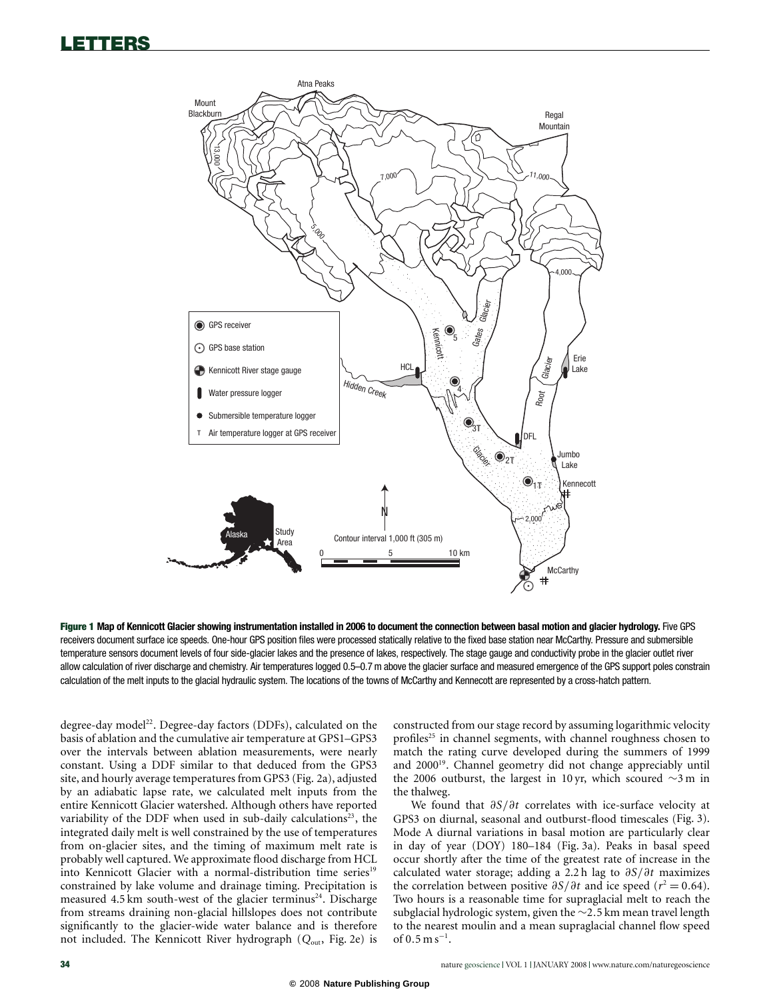## LETTERS



<span id="page-1-0"></span>Figure 1 **Map of Kennicott Glacier showing instrumentation installed in 2006 to document the connection between basal motion and glacier hydrology.** Five GPS receivers document surface ice speeds. One-hour GPS position files were processed statically relative to the fixed base station near McCarthy. Pressure and submersible temperature sensors document levels of four side-glacier lakes and the presence of lakes, respectively. The stage gauge and conductivity probe in the glacier outlet river allow calculation of river discharge and chemistry. Air temperatures logged 0.5–0.7 m above the glacier surface and measured emergence of the GPS support poles constrain calculation of the melt inputs to the glacial hydraulic system. The locations of the towns of McCarthy and Kennecott are represented by a cross-hatch pattern.

degree-day model<sup>[22](#page-4-19)</sup>. Degree-day factors (DDFs), calculated on the basis of ablation and the cumulative air temperature at GPS1–GPS3 over the intervals between ablation measurements, were nearly constant. Using a DDF similar to that deduced from the GPS3 site, and hourly average temperatures from GPS3 [\(Fig.](#page-2-0) [2a](#page-2-0)), adjusted by an adiabatic lapse rate, we calculated melt inputs from the entire Kennicott Glacier watershed. Although others have reported variability of the DDF when used in sub-daily calculations<sup>[23](#page-4-20)</sup>, the integrated daily melt is well constrained by the use of temperatures from on-glacier sites, and the timing of maximum melt rate is probably well captured. We approximate flood discharge from HCL into Kennicott Glacier with a normal-distribution time series<sup>[19](#page-4-21)</sup> constrained by lake volume and drainage timing. Precipitation is measured 4.5 km south-west of the glacier terminus<sup>[24](#page-4-22)</sup>. Discharge from streams draining non-glacial hillslopes does not contribute significantly to the glacier-wide water balance and is therefore not included. The Kennicott River hydrograph (*Q*out, [Fig.](#page-2-0) [2e](#page-2-0)) is constructed from our stage record by assuming logarithmic velocity profiles<sup>[25](#page-4-23)</sup> in channel segments, with channel roughness chosen to match the rating curve developed during the summers of 1999 and 2000<sup>[19](#page-4-21)</sup>. Channel geometry did not change appreciably until the 2006 outburst, the largest in 10 yr, which scoured ∼3 m in the thalweg.

We found that ∂*S*/∂*t* correlates with ice-surface velocity at GPS3 on diurnal, seasonal and outburst-flood timescales [\(Fig.](#page-3-0) [3\)](#page-3-0). Mode A diurnal variations in basal motion are particularly clear in day of year (DOY) 180–184 [\(Fig.](#page-3-0) [3a](#page-3-0)). Peaks in basal speed occur shortly after the time of the greatest rate of increase in the calculated water storage; adding a 2.2 h lag to ∂*S*/∂*t* maximizes the correlation between positive  $\partial S/\partial t$  and ice speed ( $r^2 = 0.64$ ). Two hours is a reasonable time for supraglacial melt to reach the subglacial hydrologic system, given the ∼2.5 km mean travel length to the nearest moulin and a mean supraglacial channel flow speed of 0.5  $\text{m s}^{-1}$ .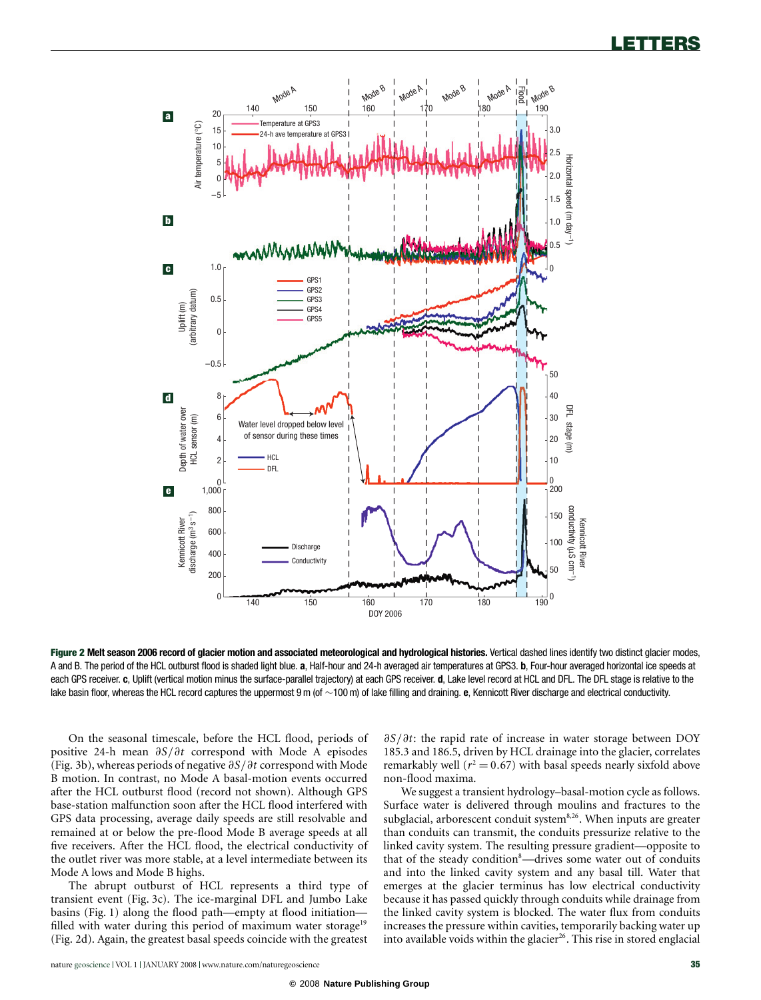

<span id="page-2-0"></span>Figure 2 **Melt season 2006 record of glacier motion and associated meteorological and hydrological histories.** Vertical dashed lines identify two distinct glacier modes, A and B. The period of the HCL outburst flood is shaded light blue. **a**, Half-hour and 24-h averaged air temperatures at GPS3. **b**, Four-hour averaged horizontal ice speeds at each GPS receiver. **c**, Uplift (vertical motion minus the surface-parallel trajectory) at each GPS receiver. **d**, Lake level record at HCL and DFL. The DFL stage is relative to the lake basin floor, whereas the HCL record captures the uppermost 9 m (of ∼100 m) of lake filling and draining. **e**, Kennicott River discharge and electrical conductivity.

On the seasonal timescale, before the HCL flood, periods of positive 24-h mean ∂*S*/∂*t* correspond with Mode A episodes [\(Fig.](#page-3-0) [3b](#page-3-0)), whereas periods of negative ∂*S*/∂*t* correspond with Mode B motion. In contrast, no Mode A basal-motion events occurred after the HCL outburst flood (record not shown). Although GPS base-station malfunction soon after the HCL flood interfered with GPS data processing, average daily speeds are still resolvable and remained at or below the pre-flood Mode B average speeds at all five receivers. After the HCL flood, the electrical conductivity of the outlet river was more stable, at a level intermediate between its Mode A lows and Mode B highs.

The abrupt outburst of HCL represents a third type of transient event [\(Fig.](#page-3-0) [3c](#page-3-0)). The ice-marginal DFL and Jumbo Lake basins [\(Fig.](#page-1-0) [1\)](#page-1-0) along the flood path—empty at flood initiation— filled with water during this period of maximum water storage<sup>[19](#page-4-21)</sup> [\(Fig.](#page-2-0) [2d](#page-2-0)). Again, the greatest basal speeds coincide with the greatest

∂*S*/∂*t*: the rapid rate of increase in water storage between DOY 185.3 and 186.5, driven by HCL drainage into the glacier, correlates remarkably well ( $r^2 = 0.67$ ) with basal speeds nearly sixfold above non-flood maxima.

We suggest a transient hydrology–basal-motion cycle as follows. Surface water is delivered through moulins and fractures to the subglacial, arborescent conduit system<sup>[8](#page-4-3)[,26](#page-4-24)</sup>. When inputs are greater than conduits can transmit, the conduits pressurize relative to the linked cavity system. The resulting pressure gradient—opposite to that of the steady condition<sup>[8](#page-4-3)</sup>—drives some water out of conduits and into the linked cavity system and any basal till. Water that emerges at the glacier terminus has low electrical conductivity because it has passed quickly through conduits while drainage from the linked cavity system is blocked. The water flux from conduits increases the pressure within cavities, temporarily backing water up into available voids within the glacier<sup>[26](#page-4-24)</sup>. This rise in stored englacial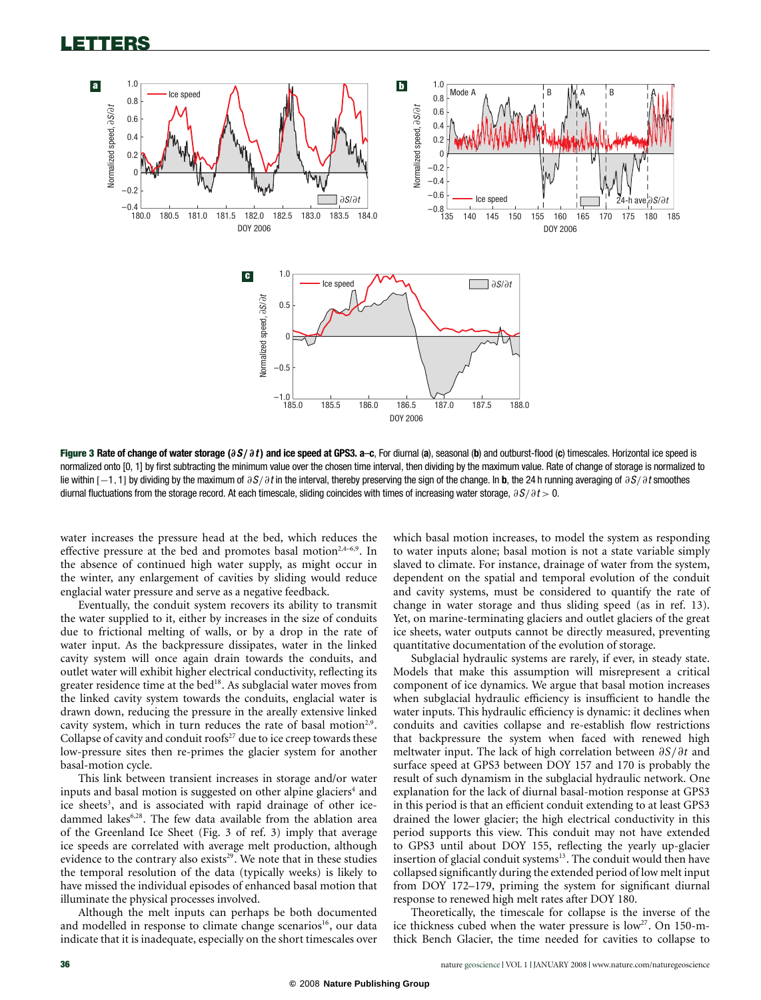LETTERS



<span id="page-3-0"></span>Figure 3 **Rate of change of water storage (**∂**S**/∂**t ) and ice speed at GPS3. a**–**c**, For diurnal (**a**), seasonal (**b**) and outburst-flood (**c**) timescales. Horizontal ice speed is normalized onto [0, 1] by first subtracting the minimum value over the chosen time interval, then dividing by the maximum value. Rate of change of storage is normalized to lie within [−1,1] by dividing by the maximum of ∂S/∂t in the interval, thereby preserving the sign of the change. In **b**, the 24 h running averaging of ∂S/∂t smoothes diurnal fluctuations from the storage record. At each timescale, sliding coincides with times of increasing water storage,  $\partial S/\partial t > 0$ .

water increases the pressure head at the bed, which reduces the effective pressure at the bed and promotes basal motion<sup>[2,](#page-4-4)[4](#page-4-18)-6,[9](#page-4-5)</sup>. In the absence of continued high water supply, as might occur in the winter, any enlargement of cavities by sliding would reduce englacial water pressure and serve as a negative feedback.

Eventually, the conduit system recovers its ability to transmit the water supplied to it, either by increases in the size of conduits due to frictional melting of walls, or by a drop in the rate of water input. As the backpressure dissipates, water in the linked cavity system will once again drain towards the conduits, and outlet water will exhibit higher electrical conductivity, reflecting its greater residence time at the bed<sup>[18](#page-4-16)</sup>. As subglacial water moves from the linked cavity system towards the conduits, englacial water is drawn down, reducing the pressure in the areally extensive linked cavity system, which in turn reduces the rate of basal motion<sup>[2](#page-4-4)[,9](#page-4-5)</sup>. Collapse of cavity and conduit roofs $27$  due to ice creep towards these low-pressure sites then re-primes the glacier system for another basal-motion cycle.

This link between transient increases in storage and/or water inputs and basal motion is suggested on other alpine glaciers<sup>[4](#page-4-18)</sup> and ice sheets<sup>[3](#page-4-6)</sup>, and is associated with rapid drainage of other ice-dammed lakes<sup>[6,](#page-4-1)[28](#page-4-26)</sup>. The few data available from the ablation area of the Greenland Ice Sheet (Fig. 3 of ref. [3\)](#page-4-6) imply that average ice speeds are correlated with average melt production, although evidence to the contrary also exists<sup>[29](#page-4-27)</sup>. We note that in these studies the temporal resolution of the data (typically weeks) is likely to have missed the individual episodes of enhanced basal motion that illuminate the physical processes involved.

Although the melt inputs can perhaps be both documented and modelled in response to climate change scenarios<sup>[16](#page-4-13)</sup>, our data indicate that it is inadequate, especially on the short timescales over which basal motion increases, to model the system as responding to water inputs alone; basal motion is not a state variable simply slaved to climate. For instance, drainage of water from the system, dependent on the spatial and temporal evolution of the conduit and cavity systems, must be considered to quantify the rate of change in water storage and thus sliding speed (as in ref. [13\)](#page-4-10). Yet, on marine-terminating glaciers and outlet glaciers of the great ice sheets, water outputs cannot be directly measured, preventing quantitative documentation of the evolution of storage.

Subglacial hydraulic systems are rarely, if ever, in steady state. Models that make this assumption will misrepresent a critical component of ice dynamics. We argue that basal motion increases when subglacial hydraulic efficiency is insufficient to handle the water inputs. This hydraulic efficiency is dynamic: it declines when conduits and cavities collapse and re-establish flow restrictions that backpressure the system when faced with renewed high meltwater input. The lack of high correlation between ∂*S*/∂*t* and surface speed at GPS3 between DOY 157 and 170 is probably the result of such dynamism in the subglacial hydraulic network. One explanation for the lack of diurnal basal-motion response at GPS3 in this period is that an efficient conduit extending to at least GPS3 drained the lower glacier; the high electrical conductivity in this period supports this view. This conduit may not have extended to GPS3 until about DOY 155, reflecting the yearly up-glacier insertion of glacial conduit systems<sup>[13](#page-4-10)</sup>. The conduit would then have collapsed significantly during the extended period of low melt input from DOY 172–179, priming the system for significant diurnal response to renewed high melt rates after DOY 180.

Theoretically, the timescale for collapse is the inverse of the ice thickness cubed when the water pressure is low<sup>[27](#page-4-25)</sup>. On 150-mthick Bench Glacier, the time needed for cavities to collapse to